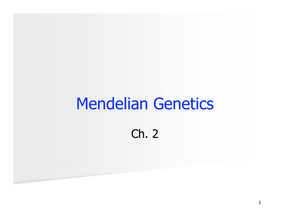# Mendelian Genetics

### Ch. 2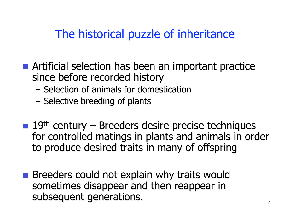### The historical puzzle of inheritance

- **E** Artificial selection has been an important practice since before recorded history
	- $-$  Selection of animals for domestication
	- $-$  Selective breeding of plants
- $\blacksquare$  19<sup>th</sup> century Breeders desire precise techniques for controlled matings in plants and animals in order to produce desired traits in many of offspring
- **Explain** why traits would not explain why traits would sometimes disappear and then reappear in subsequent generations.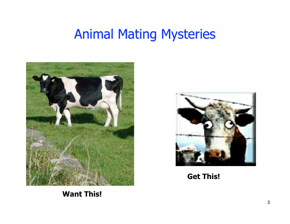# **Animal Mating Mysteries**





**Get This!**

**Want This!**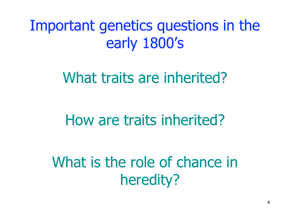Important genetics questions in the early 1800's

What traits are inherited?

# How are traits inherited?

What is the role of chance in heredity?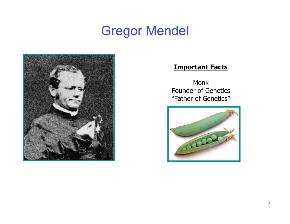# Gregor Mendel



#### **Important Facts**

Monk Founder of Genetics "Father of Genetics"

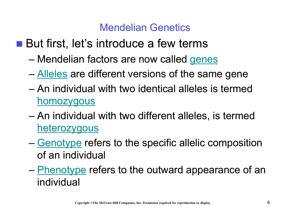#### Mendelian Genetics

- $\blacksquare$  But first, let's introduce a few terms
	- Mendelian factors are now called genes
	- Alleles are different versions of the same gene
	- An individual with two identical alleles is termed homozygous
	- An individual with two different alleles, is termed **heterozygous**
	- Genotype refers to the specific allelic composition of an individual
	- Phenotype refers to the outward appearance of an individual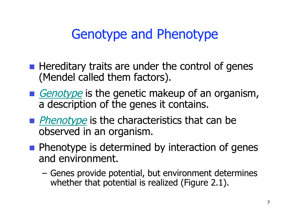# Genotype and Phenotype

- $\blacksquare$  Hereditary traits are under the control of genes (Mendel called them factors).
- **E** Genotype is the genetic makeup of an organism, a description of the genes it contains.
- **Phenotype** is the characteristics that can be observed in an organism.
- $\blacksquare$  Phenotype is determined by interaction of genes and environment.
	- Genes provide potential, but environment determines whether that potential is realized (Figure 2.1).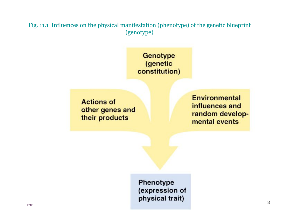Fig. 11.1 Influences on the physical manifestation (phenotype) of the genetic blueprint (genotype)

> Genotype (genetic constitution)

**Actions of** other genes and their products

**Environmental** influences and random developmental events

Phenotype (expression of Peter **Peter**  $\frac{1}{2}$  **igeneric signals**  $\frac{1}{2}$  **bending as Benjamin Cummings.** Benjamin Cummings. B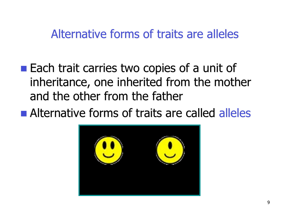### Alternative forms of traits are alleles

- **Each trait carries two copies of a unit of** inheritance, one inherited from the mother and the other from the father
- **E** Alternative forms of traits are called alleles

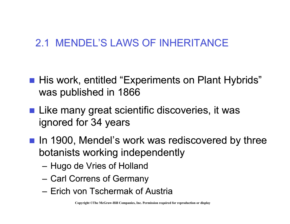### 2.1 MENDEL'S LAWS OF INHERITANCE

- **I.** His work, entitled "Experiments on Plant Hybrids" was published in 1866
- $\blacksquare$  Like many great scientific discoveries, it was ignored for 34 years
- **In 1900, Mendel's work was rediscovered by three** botanists working independently
	- Hugo de Vries of Holland
	- Carl Correns of Germany
	- Erich von Tschermak of Austria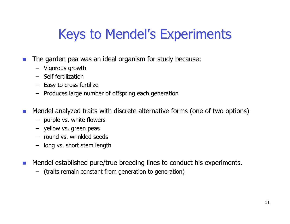# Keys to Mendel's Experiments

- $\blacksquare$  The garden pea was an ideal organism for study because:
	- Vigorous growth
	- Self fertilization
	- Easy to cross fertilize
	- Produces large number of offspring each generation
- . Mendel analyzed traits with discrete alternative forms (one of two options)
	- purple vs. white flowers
	- yellow vs. green peas
	- round vs. wrinkled seeds
	- long vs. short stem length
- $\blacksquare$  Mendel established pure/true breeding lines to conduct his experiments.
	- (traits remain constant from generation to generation)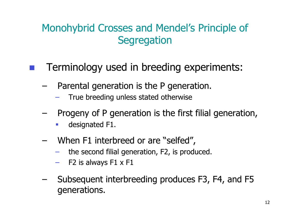### Monohybrid Crosses and Mendel's Principle of **Segregation**

### **Terminology used in breeding experiments:**

- $-$  Parental generation is the P generation.
	- True breeding unless stated otherwise
- Progeny of P generation is the first filial generation,
	- **-** designated F1.
- When F1 interbreed or are "selfed",
	- the second filial generation, F2, is produced.
	- $-$  F2 is always F1 x F1
- $-$  Subsequent interbreeding produces F3, F4, and F5 generations.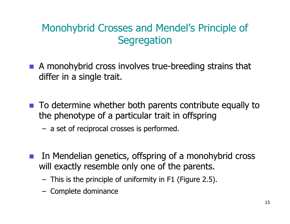### Monohybrid Crosses and Mendel's Principle of **Segregation**

- $\blacksquare$  A monohybrid cross involves true-breeding strains that differ in a single trait.
- $\blacksquare$  To determine whether both parents contribute equally to the phenotype of a particular trait in offspring
	- a set of reciprocal crosses is performed.
- $\blacksquare$  In Mendelian genetics, offspring of a monohybrid cross will exactly resemble only one of the parents.
	- This is the principle of uniformity in F1 (Figure 2.5).
	- Complete dominance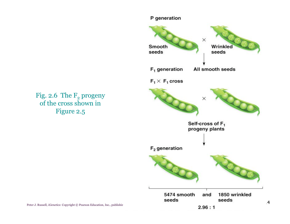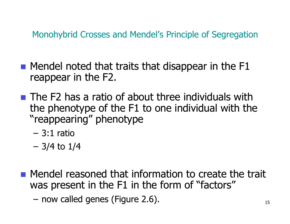Monohybrid Crosses and Mendel's Principle of Segregation

- $\blacksquare$  Mendel noted that traits that disappear in the F1 reappear in the F2.
- $\blacksquare$  The F2 has a ratio of about three individuals with the phenotype of the F1 to one individual with the "reappearing" phenotype
	- $-3:1$  ratio
	- 3/4 to 1/4
- **I.** Mendel reasoned that information to create the trait was present in the F1 in the form of "factors"
	- $-$  now called genes (Figure 2.6).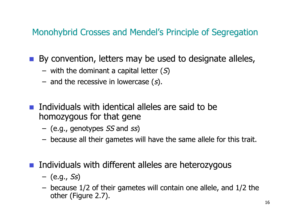Monohybrid Crosses and Mendel's Principle of Segregation

 $\blacksquare$  By convention, letters may be used to designate alleles,

- with the dominant a capital letter  $(S)$
- and the recessive in lowercase  $(s)$ .
- $\blacksquare$  Individuals with identical alleles are said to be homozygous homozygous for that gene
	- $-$  (e.g., genotypes SS and ss)
	- because all their gametes will have the same allele for this trait.
- $\blacksquare$  Individuals with different alleles are heterozygous
	- $-$  (e.g., Ss)
	- because 1/2 of their gametes will contain one allele, and 1/2 the other (Figure 2.7).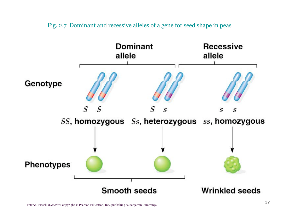



17 Peter J. Russell, *iGenetics*: Copyright © Pearson Education, Inc., publishing as Benjamin Cummings.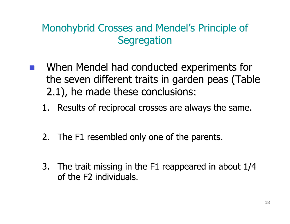### Monohybrid Crosses and Mendel's Principle of **Segregation**

- When Mendel had conducted experiments for the seven different traits in garden peas (Table 2.1), he made these conclusions:
	- 1. Results of reciprocal crosses are always the same.
	- 2. The F1 resembled only one of the parents.
	- 3. The trait missing in the F1 reappeared in about  $1/4$ of the F2 individuals.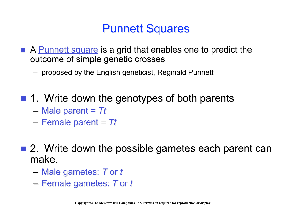### Punnett Squares

- **E** A Punnett square is a grid that enables one to predict the outcome of simple genetic crosses
	- proposed by the English geneticist, Reginald Punnett
- $\blacksquare$  1. Write down the genotypes of both parents
	- $-$  Male parent =  $\tau t$
	- Female parent = Female parent = *Tt*
- $\blacksquare$  2. Write down the possible gametes each parent can make.
	- Male gametes: Male gametes: *T* or *t*
	- Female gametes: Female gametes: *T* or *t*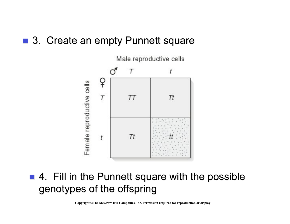#### ■ 3. Create an empty Punnett square



#### $\blacksquare$  4. Fill in the Punnett square with the possible genotypes of the offspring

**Copyright ©The McGraw-Hill Companies, Inc. Permission required for reproduction or display**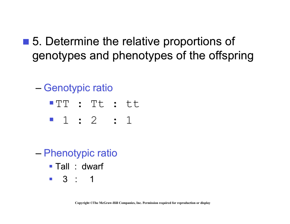- 5. Determine the relative proportions of genotypes and phenotypes of the offspring
	- Genotypic ratio
		- "TT : Tt : tt
		- " 1 : 2 : 1
	- Phenotypic ratio
		- $\blacksquare$  Tall : dwarf
		- $\blacksquare$  3 : 1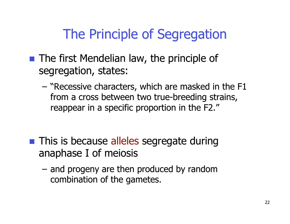# The Principle of Segregation

- $\blacksquare$  The first Mendelian law, the principle of segregation, states:
	- $-$  "Recessive characters, which are masked in the F1 from a cross between two true-breeding strains, reappear in a specific proportion in the F2."
- **This is because alleles segregate during** anaphase I of meiosis
	- and progeny are then produced by random combination of the gametes.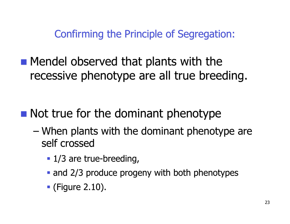Confirming the Principle of Segregation:

**In Mendel observed that plants with the** recessive phenotype are all true breeding.

## $\blacksquare$  Not true for the dominant phenotype

- When plants with the dominant phenotype are self crossed
	- $\blacksquare$  1/3 are true-breeding,
	- $\blacksquare$  and 2/3 produce progeny with both phenotypes
	- $\blacksquare$  (Figure 2.10).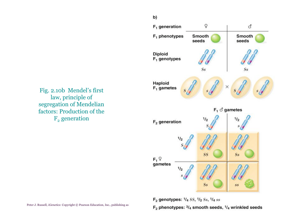

**2** Peter J. Russell, *iGenetics*: Copyright © Pearson Education, Inc., publishing as **Benjamin Cummin Cummin Cummin Cummin Cummings.**<br>Benjamin Cummin Cummings: 3/4 smooth seeds, <sup>1</sup>/4 wrinkled seeds

Fig. 2.10b Mendel's first law, principle of segregation of Mendelian factors: Production of the  $F<sub>2</sub>$  generation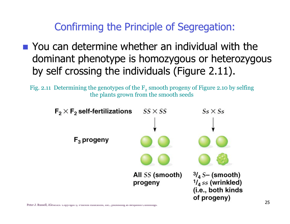### Confirming the Principle of Segregation:

 $\blacksquare$  You can determine whether an individual with the dominant phenotype is homozygous or heterozygous by self crossing the individuals (Figure 2.11).

Fig. 2.11 Determining the genotypes of the  $F<sub>2</sub>$  smooth progeny of Figure 2.10 by selfing the plants grown from the smooth seeds

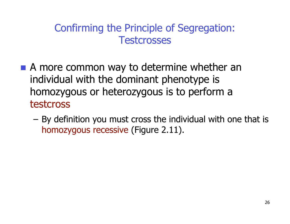#### Confirming the Principle of Segregation: **Testcrosses**

- $\blacksquare$  A more common way to determine whether an individual with the dominant phenotype is homozygous or heterozygous is to perform a testcross
	- $-$  By definition you must cross the individual with one that is homozygous recessive (Figure 2.11).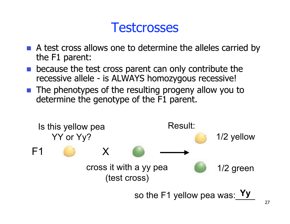### **Testcrosses**

- $\blacksquare$  A test cross allows one to determine the alleles carried by the  $F1$  parent:
- because the test cross parent can only contribute the recessive allele - is ALWAYS homozygous recessive!
- $\blacksquare$  The phenotypes of the resulting progeny allow you to determine the genotype of the F1 parent.

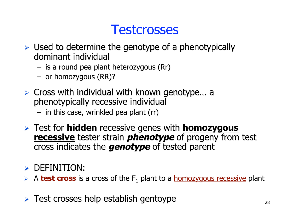# **Testcrosses**

- $\triangleright$  Used to determine the genotype of a phenotypically dominant individual
	- is a round pea plant heterozygous (Rr)
	- or homozygous (RR)?
- $\triangleright$  Cross with individual with known genotype... a phenotypically recessive individual
	- in this case, wrinkled pea plant (rr)
- $\triangleright$  Test for **hidden** recessive genes with **homozygous recessive** tester strain **phenotype** of progeny from test cross indicates the **genotype** of tested parent

#### $\triangleright$  DEFINITION:

- $\triangleright$  A **test cross** is a cross of the  $F_1$  plant to a **homozygous recessive** plant
- $\triangleright$  Test crosses help establish gentoype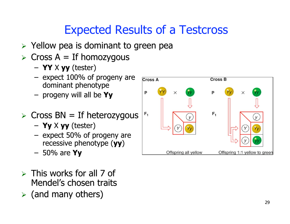# Expected Results of a Testcross

- $\triangleright$  Yellow pea is dominant to green pea
- $\triangleright$  Cross A = If homozygous
	- **YY** X **yy** (tester)
	- expect 100% of progeny are dominant phenotype
	- progeny will all be **Yy**
- $\triangleright$  Cross BN = If heterozygous
	- **Yy** X **yy** (tester)
	- expect 50% of progeny are recessive phenotype (**yy**)
	- 50% are **Yy**
- $\triangleright$  This works for all 7 of Mendel's chosen traits
- $\triangleright$  (and many others)

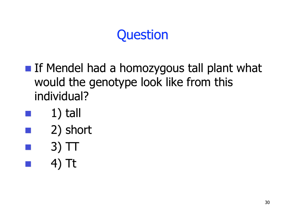- **If Mendel had a homozygous tall plant what** would the genotype look like from this individual?
- $1)$  tall
- 2) short
- $3)$  TT
- 4) Tt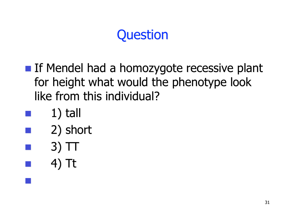- **If Mendel had a homozygote recessive plant** for height what would the phenotype look like from this individual?
- $1)$  tall
- 2) short
- $3)$  TT
- 4) Tt

|<br>|-<br>|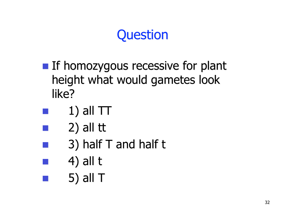- **If homozygous recessive for plant** height what would gametes look like?
- $1)$  all  $TT$
- $2)$  all tt
- $3)$  half T and half t
- $4)$  all t
	- ! 5) all T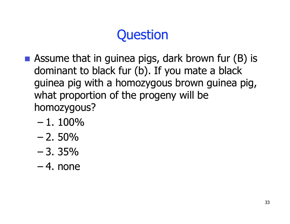- **E** Assume that in guinea pigs, dark brown fur  $(B)$  is dominant to black fur (b). If you mate a black guinea pig with a homozygous brown guinea pig, what proportion of the progeny will be homozygous?
	- $-1.100\%$
	- $-2.50\%$
	- $-3.35%$
	- $-4.$  none